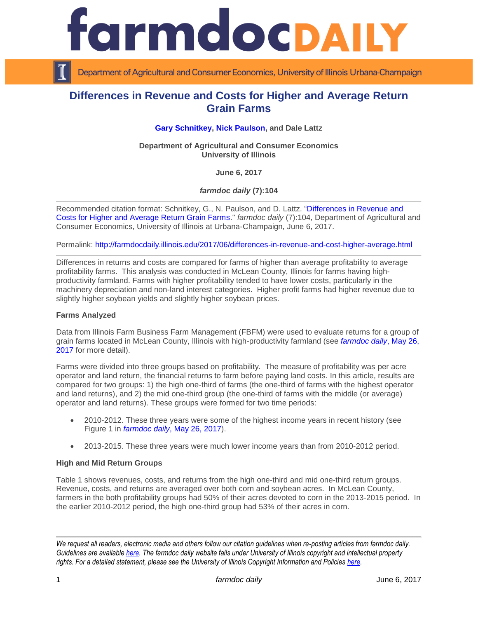



Department of Agricultural and Consumer Economics, University of Illinois Urbana-Champaign

# **Differences in Revenue and Costs for Higher and Average Return Grain Farms**

**[Gary Schnitkey,](http://farmdoc.illinois.edu/schnitkey) [Nick Paulson,](http://farmdoc.illinois.edu/paulson) and Dale Lattz**

**Department of Agricultural and Consumer Economics University of Illinois**

**June 6, 2017**

*farmdoc daily* **(7):104**

Recommended citation format: Schnitkey, G., N. Paulson, and D. Lattz. ["Differences in Revenue and](http://farmdocdaily.illinois.edu/2017/06/differences-in-revenue-and-cost-higher-average.html)  [Costs for Higher and Average Return Grain Farms.](http://farmdocdaily.illinois.edu/2017/06/differences-in-revenue-and-cost-higher-average.html)" *farmdoc daily* (7):104, Department of Agricultural and Consumer Economics, University of Illinois at Urbana-Champaign, June 6, 2017.

Permalink: <http://farmdocdaily.illinois.edu/2017/06/differences-in-revenue-and-cost-higher-average.html>

Differences in returns and costs are compared for farms of higher than average profitability to average profitability farms. This analysis was conducted in McLean County, Illinois for farms having highproductivity farmland. Farms with higher profitability tended to have lower costs, particularly in the machinery depreciation and non-land interest categories. Higher profit farms had higher revenue due to slightly higher soybean yields and slightly higher soybean prices.

### **Farms Analyzed**

Data from Illinois Farm Business Farm Management (FBFM) were used to evaluate returns for a group of grain farms located in McLean County, Illinois with high-productivity farmland (see *farmdoc daily*, [May 26,](http://farmdocdaily.illinois.edu/2017/05/how-hard-is-it-to-be-above-average-in-farming.html)  [2017](http://farmdocdaily.illinois.edu/2017/05/how-hard-is-it-to-be-above-average-in-farming.html) for more detail).

Farms were divided into three groups based on profitability. The measure of profitability was per acre operator and land return, the financial returns to farm before paying land costs. In this article, results are compared for two groups: 1) the high one-third of farms (the one-third of farms with the highest operator and land returns), and 2) the mid one-third group (the one-third of farms with the middle (or average) operator and land returns). These groups were formed for two time periods:

- 2010-2012. These three years were some of the highest income years in recent history (see Figure 1 in *farmdoc daily*[, May 26, 2017\)](http://farmdocdaily.illinois.edu/2017/05/how-hard-is-it-to-be-above-average-in-farming.html).
- 2013-2015. These three years were much lower income years than from 2010-2012 period.

### **High and Mid Return Groups**

Table 1 shows revenues, costs, and returns from the high one-third and mid one-third return groups. Revenue, costs, and returns are averaged over both corn and soybean acres. In McLean County, farmers in the both profitability groups had 50% of their acres devoted to corn in the 2013-2015 period. In the earlier 2010-2012 period, the high one-third group had 53% of their acres in corn.

*We request all readers, electronic media and others follow our citation guidelines when re-posting articles from farmdoc daily. Guidelines are available [here.](http://farmdocdaily.illinois.edu/citationguide.html) The farmdoc daily website falls under University of Illinois copyright and intellectual property rights. For a detailed statement, please see the University of Illinois Copyright Information and Policies [here.](http://www.cio.illinois.edu/policies/copyright/)*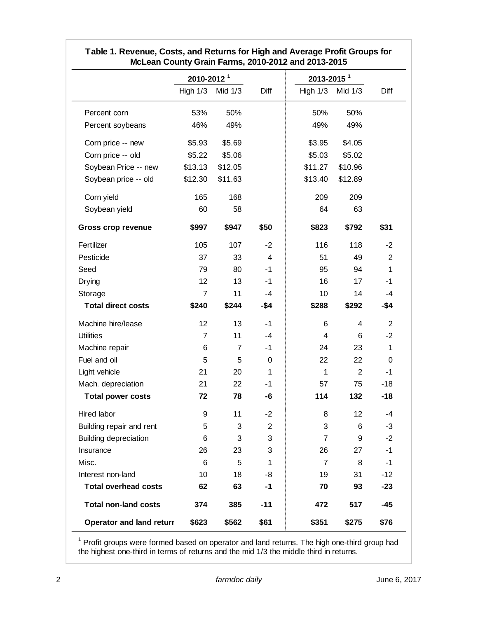| McLean County Grain Farms, 2010-2012 and 2013-2015 |                        |                |                |                        |         |                |
|----------------------------------------------------|------------------------|----------------|----------------|------------------------|---------|----------------|
|                                                    | 2010-2012 <sup>1</sup> |                |                | 2013-2015 <sup>1</sup> |         |                |
|                                                    | High $1/3$             | Mid 1/3        | Diff           | High $1/3$             | Mid 1/3 | Diff           |
| Percent corn                                       | 53%                    | 50%            |                | 50%                    | 50%     |                |
| Percent soybeans                                   | 46%                    | 49%            |                | 49%                    | 49%     |                |
| Corn price -- new                                  | \$5.93                 | \$5.69         |                | \$3.95                 | \$4.05  |                |
| Corn price -- old                                  | \$5.22                 | \$5.06         |                | \$5.03                 | \$5.02  |                |
| Soybean Price -- new                               | \$13.13                | \$12.05        |                | \$11.27                | \$10.96 |                |
| Soybean price -- old                               | \$12.30                | \$11.63        |                | \$13.40                | \$12.89 |                |
| Corn yield                                         | 165                    | 168            |                | 209                    | 209     |                |
| Soybean yield                                      | 60                     | 58             |                | 64                     | 63      |                |
| <b>Gross crop revenue</b>                          | \$997                  | \$947          | \$50           | \$823                  | \$792   | \$31           |
| Fertilizer                                         | 105                    | 107            | $-2$           | 116                    | 118     | $-2$           |
| Pesticide                                          | 37                     | 33             | 4              | 51                     | 49      | 2              |
| Seed                                               | 79                     | 80             | $-1$           | 95                     | 94      | 1              |
| Drying                                             | 12                     | 13             | $-1$           | 16                     | 17      | $-1$           |
| Storage                                            | $\overline{7}$         | 11             | $-4$           | 10                     | 14      | $-4$           |
| <b>Total direct costs</b>                          | \$240                  | \$244          | -\$4           | \$288                  | \$292   | -\$4           |
| Machine hire/lease                                 | 12                     | 13             | $-1$           | 6                      | 4       | $\overline{2}$ |
| <b>Utilities</b>                                   | $\overline{7}$         | 11             | $-4$           | $\overline{4}$         | 6       | $-2$           |
| Machine repair                                     | 6                      | $\overline{7}$ | $-1$           | 24                     | 23      | 1              |
| Fuel and oil                                       | 5                      | 5              | 0              | 22                     | 22      | 0              |
| Light vehicle                                      | 21                     | 20             | 1              | $\mathbf{1}$           | 2       | $-1$           |
| Mach. depreciation                                 | 21                     | 22             | $-1$           | 57                     | 75      | $-18$          |
| <b>Total power costs</b>                           | 72                     | 78             | -6             | 114                    | 132     | $-18$          |
| <b>Hired labor</b>                                 | 9                      | 11             | -2             | 8                      | 12      | -4             |
| Building repair and rent                           | 5                      | 3              | $\overline{c}$ | 3                      | 6       | $-3$           |
| <b>Building depreciation</b>                       | 6                      | 3              | 3              | $\overline{7}$         | 9       | $-2$           |
| Insurance                                          | 26                     | 23             | 3              | 26                     | 27      | $-1$           |
| Misc.                                              | 6                      | 5              | $\mathbf{1}$   | $\overline{7}$         | 8       | -1             |
| Interest non-land                                  | 10                     | 18             | -8             | 19                     | 31      | $-12$          |
| <b>Total overhead costs</b>                        | 62                     | 63             | $-1$           | 70                     | 93      | $-23$          |
| <b>Total non-land costs</b>                        | 374                    | 385            | $-11$          | 472                    | 517     | $-45$          |
| Operator and land returr                           | \$623                  | \$562          | \$61           | \$351                  | \$275   | \$76           |

# **Table 1. Revenue, Costs, and Returns for High and Average Profit Groups for McLean County Grain Farms, 2010-2012 and 2013-2015**

<sup>1</sup> Profit groups were formed based on operator and land returns. The high one-third group had the highest one-third in terms of returns and the mid 1/3 the middle third in returns.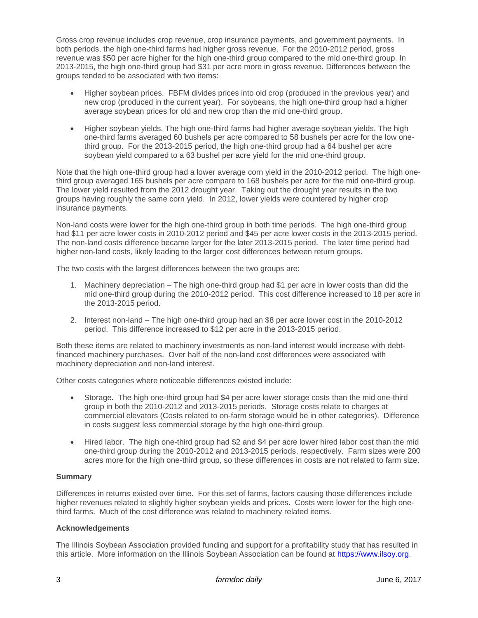Gross crop revenue includes crop revenue, crop insurance payments, and government payments. In both periods, the high one-third farms had higher gross revenue. For the 2010-2012 period, gross revenue was \$50 per acre higher for the high one-third group compared to the mid one-third group. In 2013-2015, the high one-third group had \$31 per acre more in gross revenue. Differences between the groups tended to be associated with two items:

- Higher soybean prices. FBFM divides prices into old crop (produced in the previous year) and new crop (produced in the current year). For soybeans, the high one-third group had a higher average soybean prices for old and new crop than the mid one-third group.
- Higher soybean yields. The high one-third farms had higher average soybean yields. The high one-third farms averaged 60 bushels per acre compared to 58 bushels per acre for the low onethird group. For the 2013-2015 period, the high one-third group had a 64 bushel per acre soybean yield compared to a 63 bushel per acre yield for the mid one-third group.

Note that the high one-third group had a lower average corn yield in the 2010-2012 period. The high onethird group averaged 165 bushels per acre compare to 168 bushels per acre for the mid one-third group. The lower yield resulted from the 2012 drought year. Taking out the drought year results in the two groups having roughly the same corn yield. In 2012, lower yields were countered by higher crop insurance payments.

Non-land costs were lower for the high one-third group in both time periods. The high one-third group had \$11 per acre lower costs in 2010-2012 period and \$45 per acre lower costs in the 2013-2015 period. The non-land costs difference became larger for the later 2013-2015 period. The later time period had higher non-land costs, likely leading to the larger cost differences between return groups.

The two costs with the largest differences between the two groups are:

- 1. Machinery depreciation The high one-third group had \$1 per acre in lower costs than did the mid one-third group during the 2010-2012 period. This cost difference increased to 18 per acre in the 2013-2015 period.
- 2. Interest non-land The high one-third group had an \$8 per acre lower cost in the 2010-2012 period. This difference increased to \$12 per acre in the 2013-2015 period.

Both these items are related to machinery investments as non-land interest would increase with debtfinanced machinery purchases. Over half of the non-land cost differences were associated with machinery depreciation and non-land interest.

Other costs categories where noticeable differences existed include:

- Storage. The high one-third group had \$4 per acre lower storage costs than the mid one-third group in both the 2010-2012 and 2013-2015 periods. Storage costs relate to charges at commercial elevators (Costs related to on-farm storage would be in other categories). Difference in costs suggest less commercial storage by the high one-third group.
- Hired labor. The high one-third group had \$2 and \$4 per acre lower hired labor cost than the mid one-third group during the 2010-2012 and 2013-2015 periods, respectively. Farm sizes were 200 acres more for the high one-third group, so these differences in costs are not related to farm size.

## **Summary**

Differences in returns existed over time. For this set of farms, factors causing those differences include higher revenues related to slightly higher soybean yields and prices. Costs were lower for the high onethird farms. Much of the cost difference was related to machinery related items.

## **Acknowledgements**

The Illinois Soybean Association provided funding and support for a profitability study that has resulted in this article. More information on the Illinois Soybean Association can be found at [https://www.ilsoy.org.](https://www.ilsoy.org/)